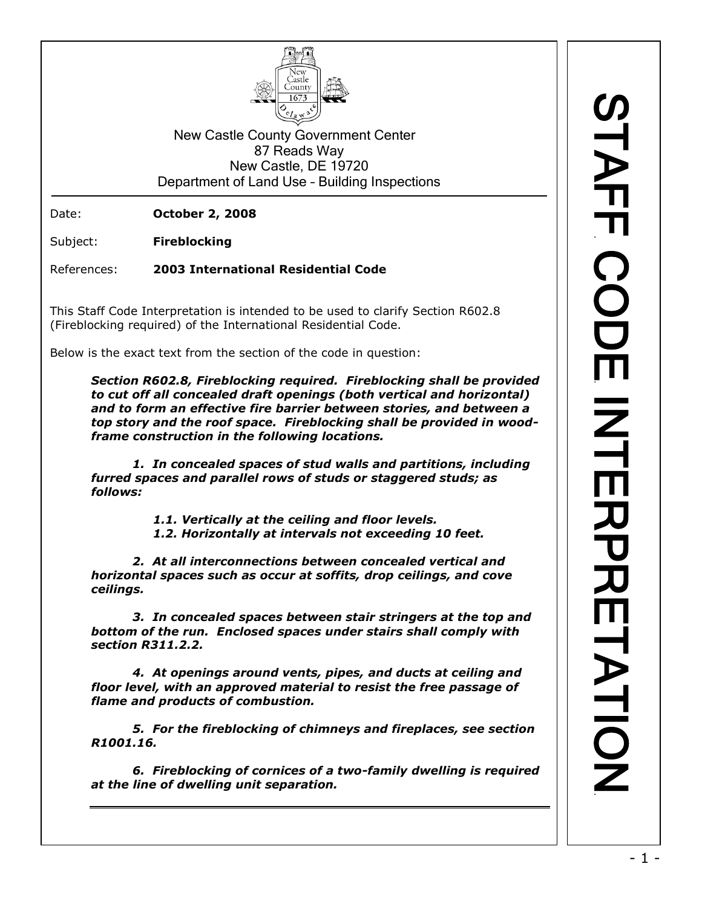

New Castle County Government Center 87 Reads Way New Castle, DE 19720 Department of Land Use – Building Inspections

Date: **October 2, 2008**

Subject: **Fireblocking**

References: **2003 International Residential Code**

This Staff Code Interpretation is intended to be used to clarify Section R602.8 (Fireblocking required) of the International Residential Code.

Below is the exact text from the section of the code in question:

*Section R602.8, Fireblocking required. Fireblocking shall be provided to cut off all concealed draft openings (both vertical and horizontal) and to form an effective fire barrier between stories, and between a top story and the roof space. Fireblocking shall be provided in woodframe construction in the following locations.*

*1. In concealed spaces of stud walls and partitions, including furred spaces and parallel rows of studs or staggered studs; as follows:*

> *1.1. Vertically at the ceiling and floor levels. 1.2. Horizontally at intervals not exceeding 10 feet.*

*2. At all interconnections between concealed vertical and horizontal spaces such as occur at soffits, drop ceilings, and cove ceilings.*

*3. In concealed spaces between stair stringers at the top and bottom of the run. Enclosed spaces under stairs shall comply with section R311.2.2.*

*4. At openings around vents, pipes, and ducts at ceiling and floor level, with an approved material to resist the free passage of flame and products of combustion.*

*5. For the fireblocking of chimneys and fireplaces, see section R1001.16.*

*6. Fireblocking of cornices of a two-family dwelling is required at the line of dwelling unit separation.*